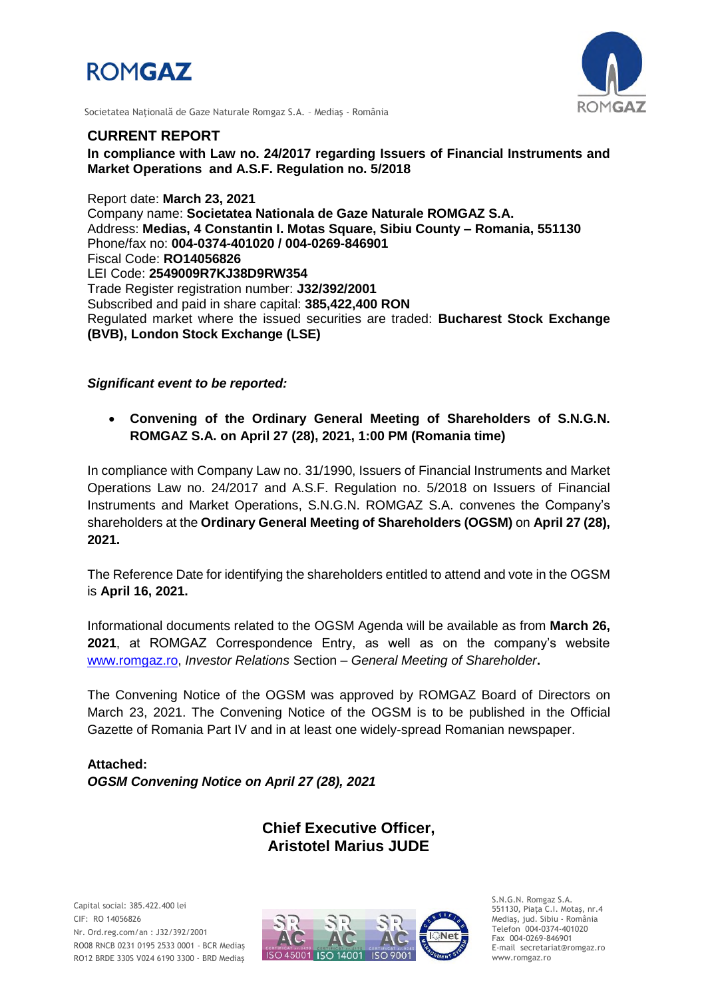



Societatea Naţională de Gaze Naturale Romgaz S.A. – Mediaş - România

## **CURRENT REPORT**

**In compliance with Law no. 24/2017 regarding Issuers of Financial Instruments and Market Operations and A.S.F. Regulation no. 5/2018**

Report date: **March 23, 2021** Company name: **Societatea Nationala de Gaze Naturale ROMGAZ S.A.** Address: **Medias, 4 Constantin I. Motas Square, Sibiu County – Romania, 551130** Phone/fax no: **004-0374-401020 / 004-0269-846901** Fiscal Code: **RO14056826** LEI Code: **2549009R7KJ38D9RW354** Trade Register registration number: **J32/392/2001** Subscribed and paid in share capital: **385,422,400 RON** Regulated market where the issued securities are traded: **Bucharest Stock Exchange (BVB), London Stock Exchange (LSE)**

*Significant event to be reported:*

 **Convening of the Ordinary General Meeting of Shareholders of S.N.G.N. ROMGAZ S.A. on April 27 (28), 2021, 1:00 PM (Romania time)**

In compliance with Company Law no. 31/1990, Issuers of Financial Instruments and Market Operations Law no. 24/2017 and A.S.F. Regulation no. 5/2018 on Issuers of Financial Instruments and Market Operations, S.N.G.N. ROMGAZ S.A. convenes the Company's shareholders at the **Ordinary General Meeting of Shareholders (OGSM)** on **April 27 (28), 2021.**

The Reference Date for identifying the shareholders entitled to attend and vote in the OGSM is **April 16, 2021.**

Informational documents related to the OGSM Agenda will be available as from **March 26, 2021**, at ROMGAZ Correspondence Entry, as well as on the company's website [www.romgaz.ro,](http://www.romgaz.ro/) *Investor Relations* Section – *General Meeting of Shareholder***.**

The Convening Notice of the OGSM was approved by ROMGAZ Board of Directors on March 23, 2021. The Convening Notice of the OGSM is to be published in the Official Gazette of Romania Part IV and in at least one widely-spread Romanian newspaper.

**Attached:** *OGSM Convening Notice on April 27 (28), 2021*

# **Chief Executive Officer, Aristotel Marius JUDE**



S.N.G.N. Romgaz S.A. 551130, Piața C.I. Motaş, nr.4 Mediaş, jud. Sibiu - România Telefon 004-0374-401020 Fax 004-0269-846901 E-mail secretariat@romgaz.ro www.romgaz.ro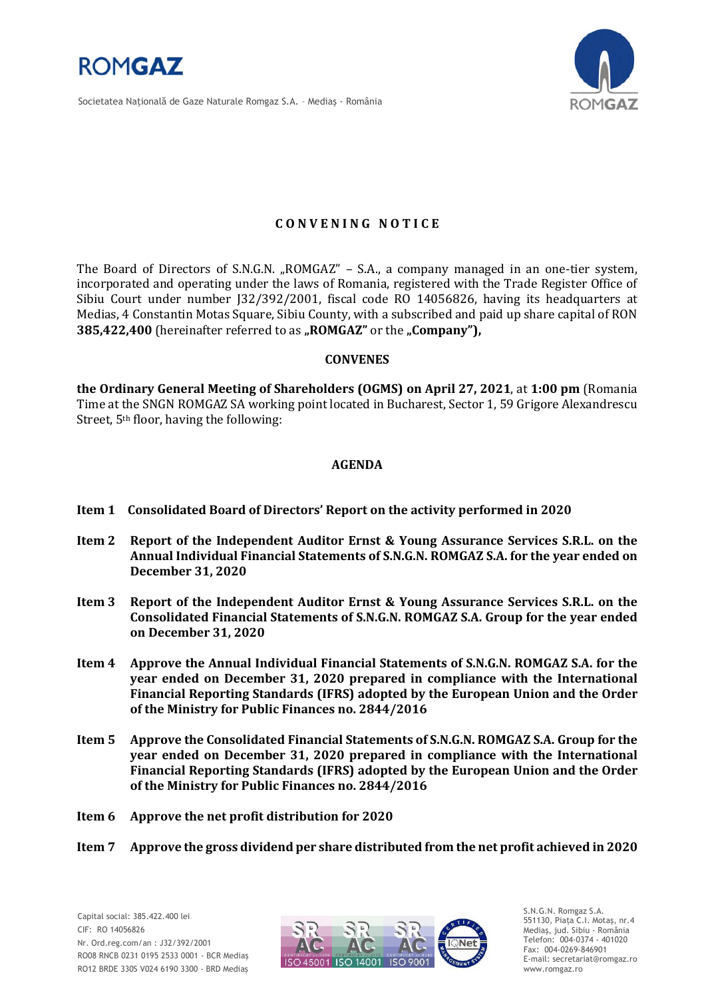

Societatea Naţională de Gaze Naturale Romgaz S.A. – Mediaş - România



## **C O N V E N I N G N O T I C E**

The Board of Directors of S.N.G.N. "ROMGAZ" – S.A., a company managed in an one-tier system, incorporated and operating under the laws of Romania, registered with the Trade Register Office of Sibiu Court under number J32/392/2001, fiscal code RO 14056826, having its headquarters at Medias, 4 Constantin Motas Square, Sibiu County, with a subscribed and paid up share capital of RON **385,422,400** (hereinafter referred to as "ROMGAZ" or the "Company"),

#### **CONVENES**

**the Ordinary General Meeting of Shareholders (OGMS) on April 27, 2021**, at **1:00 pm** (Romania Time at the SNGN ROMGAZ SA working point located in Bucharest, Sector 1, 59 Grigore Alexandrescu Street, 5th floor, having the following:

### **AGENDA**

- **Item 1 Consolidated Board of Directors' Report on the activity performed in 2020**
- **Item 2 Report of the Independent Auditor Ernst & Young Assurance Services S.R.L. on the Annual Individual Financial Statements of S.N.G.N. ROMGAZ S.A. for the year ended on December 31, 2020**
- **Item 3 Report of the Independent Auditor Ernst & Young Assurance Services S.R.L. on the Consolidated Financial Statements of S.N.G.N. ROMGAZ S.A. Group for the year ended on December 31, 2020**
- **Item 4 Approve the Annual Individual Financial Statements of S.N.G.N. ROMGAZ S.A. for the year ended on December 31, 2020 prepared in compliance with the International Financial Reporting Standards (IFRS) adopted by the European Union and the Order of the Ministry for Public Finances no. 2844/2016**
- **Item 5 Approve the Consolidated Financial Statements of S.N.G.N. ROMGAZ S.A. Group for the year ended on December 31, 2020 prepared in compliance with the International Financial Reporting Standards (IFRS) adopted by the European Union and the Order of the Ministry for Public Finances no. 2844/2016**
- **Item 6 Approve the net profit distribution for 2020**
- **Item 7 Approve the gross dividend per share distributed from the net profit achieved in 2020**



S.N.G.N. Romgaz S.A. 551130, Piața C.I. Motaş, nr.4 Mediaş, jud. Sibiu - România Telefon: 004-0374 - 401020 Fax: 004-0269-846901 E-mail: secretariat@romgaz.ro www.romgaz.ro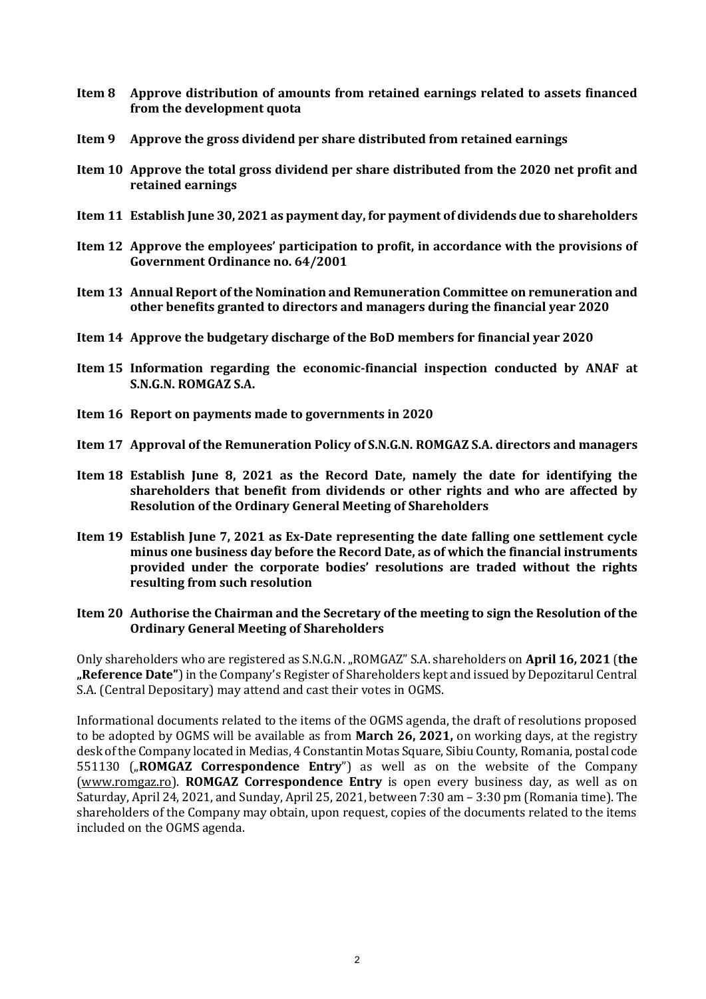- **Item 8 Approve distribution of amounts from retained earnings related to assets financed from the development quota**
- **Item 9 Approve the gross dividend per share distributed from retained earnings**
- **Item 10 Approve the total gross dividend per share distributed from the 2020 net profit and retained earnings**
- **Item 11 Establish June 30, 2021 as payment day, for payment of dividends due to shareholders**
- **Item 12 Approve the employees' participation to profit, in accordance with the provisions of Government Ordinance no. 64/2001**
- **Item 13 Annual Report of the Nomination and Remuneration Committee on remuneration and other benefits granted to directors and managers during the financial year 2020**
- **Item 14 Approve the budgetary discharge of the BoD members for financial year 2020**
- **Item 15 Information regarding the economic-financial inspection conducted by ANAF at S.N.G.N. ROMGAZ S.A.**
- **Item 16 Report on payments made to governments in 2020**
- **Item 17 Approval of the Remuneration Policy of S.N.G.N. ROMGAZ S.A. directors and managers**
- **Item 18 Establish June 8, 2021 as the Record Date, namely the date for identifying the shareholders that benefit from dividends or other rights and who are affected by Resolution of the Ordinary General Meeting of Shareholders**
- **Item 19 Establish June 7, 2021 as Ex-Date representing the date falling one settlement cycle minus one business day before the Record Date, as of which the financial instruments provided under the corporate bodies' resolutions are traded without the rights resulting from such resolution**

#### **Item 20 Authorise the Chairman and the Secretary of the meeting to sign the Resolution of the Ordinary General Meeting of Shareholders**

Only shareholders who are registered as S.N.G.N. "ROMGAZ" S.A. shareholders on **April 16, 2021** (**the "Reference Date"**) in the Company's Register of Shareholders kept and issued by Depozitarul Central S.A. (Central Depositary) may attend and cast their votes in OGMS.

Informational documents related to the items of the OGMS agenda, the draft of resolutions proposed to be adopted by OGMS will be available as from **March 26, 2021,** on working days, at the registry desk of the Company located in Medias, 4 Constantin Motas Square, Sibiu County, Romania, postal code 551130 ("ROMGAZ Correspondence Entry") as well as on the website of the Company [\(www.romgaz.ro\)](http://www.romgaz.ro/). **ROMGAZ Correspondence Entry** is open every business day, as well as on Saturday, April 24, 2021, and Sunday, April 25, 2021, between 7:30 am – 3:30 pm (Romania time). The shareholders of the Company may obtain, upon request, copies of the documents related to the items included on the OGMS agenda.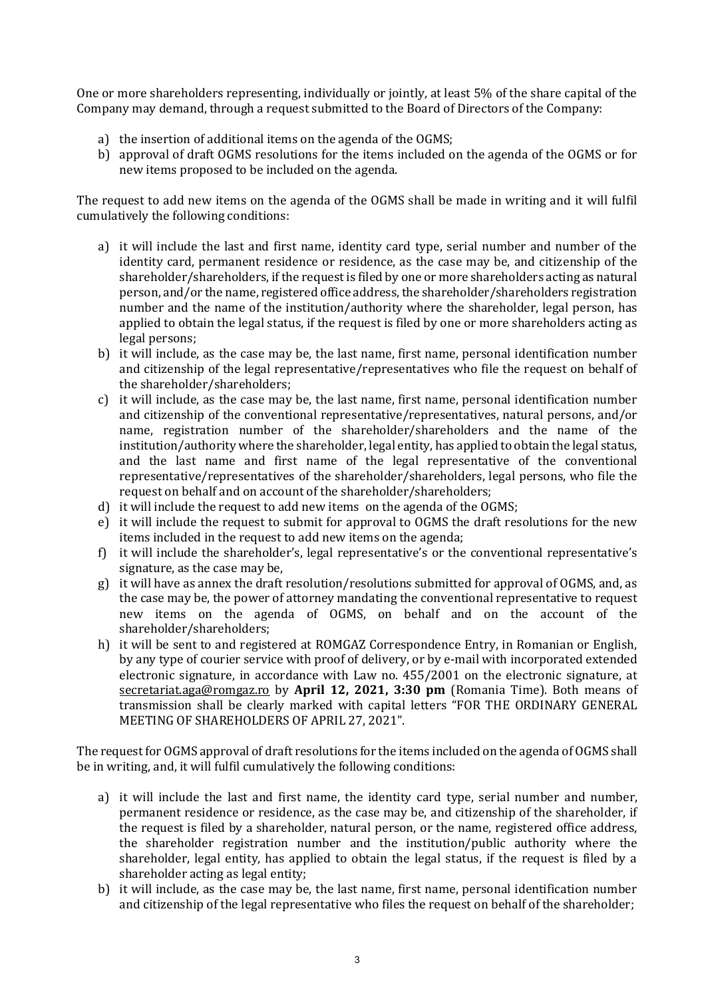One or more shareholders representing, individually or jointly, at least 5% of the share capital of the Company may demand, through a request submitted to the Board of Directors of the Company:

- a) the insertion of additional items on the agenda of the OGMS;
- b) approval of draft OGMS resolutions for the items included on the agenda of the OGMS or for new items proposed to be included on the agenda.

The request to add new items on the agenda of the OGMS shall be made in writing and it will fulfil cumulatively the following conditions:

- a) it will include the last and first name, identity card type, serial number and number of the identity card, permanent residence or residence, as the case may be, and citizenship of the shareholder/shareholders, if the request is filed by one or more shareholders acting as natural person, and/or the name, registered office address, the shareholder/shareholders registration number and the name of the institution/authority where the shareholder, legal person, has applied to obtain the legal status, if the request is filed by one or more shareholders acting as legal persons;
- b) it will include, as the case may be, the last name, first name, personal identification number and citizenship of the legal representative/representatives who file the request on behalf of the shareholder/shareholders;
- c) it will include, as the case may be, the last name, first name, personal identification number and citizenship of the conventional representative/representatives, natural persons, and/or name, registration number of the shareholder/shareholders and the name of the institution/authority where the shareholder, legal entity, has applied to obtain the legal status, and the last name and first name of the legal representative of the conventional representative/representatives of the shareholder/shareholders, legal persons, who file the request on behalf and on account of the shareholder/shareholders;
- d) it will include the request to add new items on the agenda of the OGMS;
- e) it will include the request to submit for approval to OGMS the draft resolutions for the new items included in the request to add new items on the agenda;
- f) it will include the shareholder's, legal representative's or the conventional representative's signature, as the case may be,
- g) it will have as annex the draft resolution/resolutions submitted for approval of OGMS, and, as the case may be, the power of attorney mandating the conventional representative to request new items on the agenda of OGMS, on behalf and on the account of the shareholder/shareholders;
- h) it will be sent to and registered at ROMGAZ Correspondence Entry, in Romanian or English, by any type of courier service with proof of delivery, or by e-mail with incorporated extended electronic signature, in accordance with Law no. 455/2001 on the electronic signature, at [secretariat.aga@romgaz.ro](mailto:secretariat.aga%40romgaz.ro) by **April 12, 2021, 3:30 pm** (Romania Time). Both means of transmission shall be clearly marked with capital letters "FOR THE ORDINARY GENERAL MEETING OF SHAREHOLDERS OF APRIL 27, 2021".

The request for OGMS approval of draft resolutions for the items included on the agenda of OGMS shall be in writing, and, it will fulfil cumulatively the following conditions:

- a) it will include the last and first name, the identity card type, serial number and number, permanent residence or residence, as the case may be, and citizenship of the shareholder, if the request is filed by a shareholder, natural person, or the name, registered office address, the shareholder registration number and the institution/public authority where the shareholder, legal entity, has applied to obtain the legal status, if the request is filed by a shareholder acting as legal entity;
- b) it will include, as the case may be, the last name, first name, personal identification number and citizenship of the legal representative who files the request on behalf of the shareholder;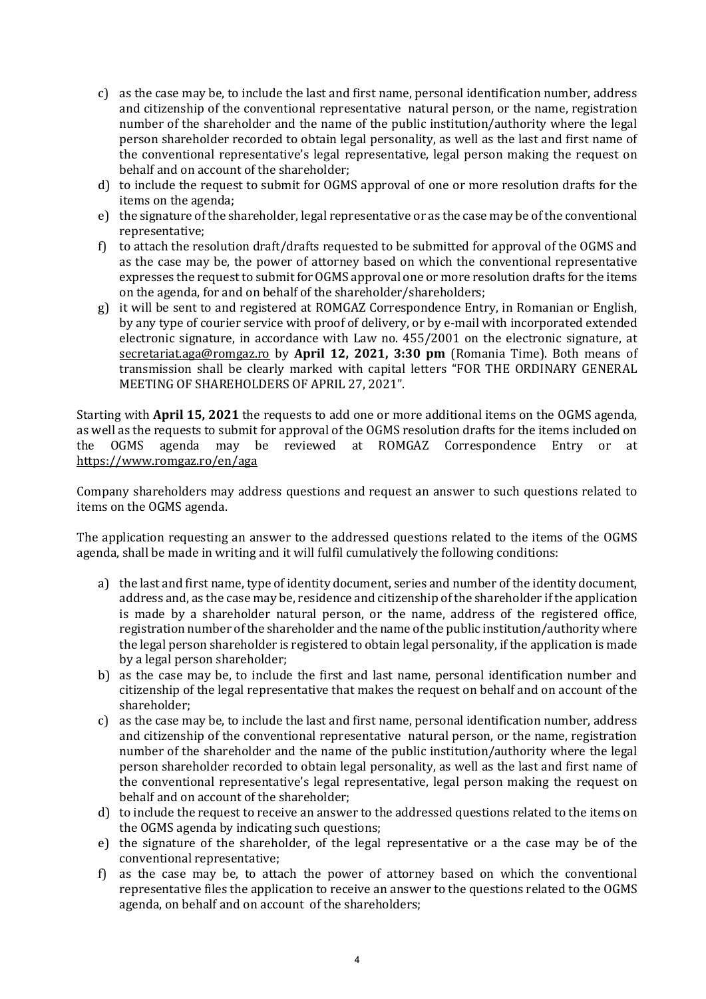- c) as the case may be, to include the last and first name, personal identification number, address and citizenship of the conventional representative natural person, or the name, registration number of the shareholder and the name of the public institution/authority where the legal person shareholder recorded to obtain legal personality, as well as the last and first name of the conventional representative's legal representative, legal person making the request on behalf and on account of the shareholder;
- d) to include the request to submit for OGMS approval of one or more resolution drafts for the items on the agenda;
- e) the signature of the shareholder, legal representative or as the case may be of the conventional representative;
- f) to attach the resolution draft/drafts requested to be submitted for approval of the OGMS and as the case may be, the power of attorney based on which the conventional representative expresses the request to submit for OGMS approval one or more resolution drafts for the items on the agenda, for and on behalf of the shareholder/shareholders;
- g) it will be sent to and registered at ROMGAZ Correspondence Entry, in Romanian or English, by any type of courier service with proof of delivery, or by e-mail with incorporated extended electronic signature, in accordance with Law no. 455/2001 on the electronic signature, at [secretariat.aga@romgaz.ro](mailto:secretariat.aga%40romgaz.ro) by **April 12, 2021, 3:30 pm** (Romania Time). Both means of transmission shall be clearly marked with capital letters "FOR THE ORDINARY GENERAL MEETING OF SHAREHOLDERS OF APRIL 27, 2021".

Starting with **April 15, 2021** the requests to add one or more additional items on the OGMS agenda, as well as the requests to submit for approval of the OGMS resolution drafts for the items included on the OGMS agenda may be reviewed at ROMGAZ Correspondence Entry or at <https://www.romgaz.ro/en/aga>

Company shareholders may address questions and request an answer to such questions related to items on the OGMS agenda.

The application requesting an answer to the addressed questions related to the items of the OGMS agenda, shall be made in writing and it will fulfil cumulatively the following conditions:

- a) the last and first name, type of identity document, series and number of the identity document, address and, as the case may be, residence and citizenship of the shareholder if the application is made by a shareholder natural person, or the name, address of the registered office, registration number of the shareholder and the name of the public institution/authority where the legal person shareholder is registered to obtain legal personality, if the application is made by a legal person shareholder;
- b) as the case may be, to include the first and last name, personal identification number and citizenship of the legal representative that makes the request on behalf and on account of the shareholder;
- c) as the case may be, to include the last and first name, personal identification number, address and citizenship of the conventional representative natural person, or the name, registration number of the shareholder and the name of the public institution/authority where the legal person shareholder recorded to obtain legal personality, as well as the last and first name of the conventional representative's legal representative, legal person making the request on behalf and on account of the shareholder;
- d) to include the request to receive an answer to the addressed questions related to the items on the OGMS agenda by indicating such questions;
- e) the signature of the shareholder, of the legal representative or a the case may be of the conventional representative;
- f) as the case may be, to attach the power of attorney based on which the conventional representative files the application to receive an answer to the questions related to the OGMS agenda, on behalf and on account of the shareholders;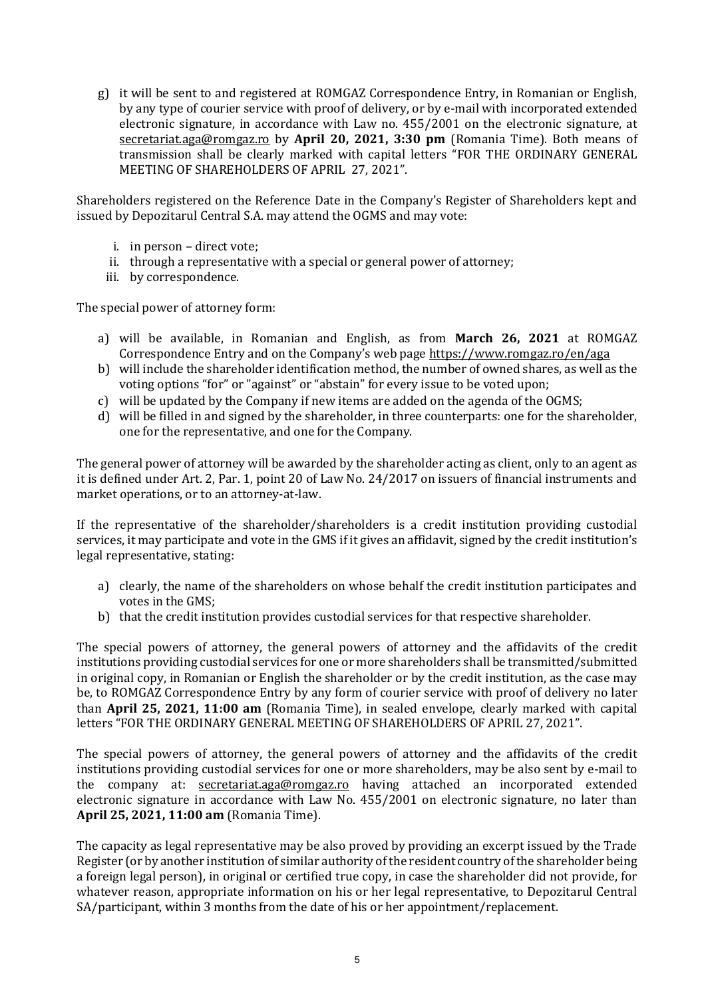g) it will be sent to and registered at ROMGAZ Correspondence Entry, in Romanian or English, by any type of courier service with proof of delivery, or by e-mail with incorporated extended electronic signature, in accordance with Law no. 455/2001 on the electronic signature, at [secretariat.aga@romgaz.ro](mailto:secretariat.aga%40romgaz.ro) by **April 20, 2021, 3:30 pm** (Romania Time). Both means of transmission shall be clearly marked with capital letters "FOR THE ORDINARY GENERAL MEETING OF SHAREHOLDERS OF APRIL 27, 2021".

Shareholders registered on the Reference Date in the Company's Register of Shareholders kept and issued by Depozitarul Central S.A. may attend the OGMS and may vote:

- i. in person direct vote;
- ii. through a representative with a special or general power of attorney;
- iii. by correspondence.

The special power of attorney form:

- a) will be available, in Romanian and English, as from **March 26, 2021** at ROMGAZ Correspondence Entry and on the Company's web page <https://www.romgaz.ro/en/aga>
- b) will include the shareholder identification method, the number of owned shares, as well as the voting options "for" or "against" or "abstain" for every issue to be voted upon;
- c) will be updated by the Company if new items are added on the agenda of the OGMS;
- d) will be filled in and signed by the shareholder, in three counterparts: one for the shareholder, one for the representative, and one for the Company.

The general power of attorney will be awarded by the shareholder acting as client, only to an agent as it is defined under Art. 2, Par. 1, point 20 of Law No. 24/2017 on issuers of financial instruments and market operations, or to an attorney-at-law.

If the representative of the shareholder/shareholders is a credit institution providing custodial services, it may participate and vote in the GMS if it gives an affidavit, signed by the credit institution's legal representative, stating:

- a) clearly, the name of the shareholders on whose behalf the credit institution participates and votes in the GMS;
- b) that the credit institution provides custodial services for that respective shareholder.

The special powers of attorney, the general powers of attorney and the affidavits of the credit institutions providing custodial services for one or more shareholders shall be transmitted/submitted in original copy, in Romanian or English the shareholder or by the credit institution, as the case may be, to ROMGAZ Correspondence Entry by any form of courier service with proof of delivery no later than **April 25, 2021, 11:00 am** (Romania Time), in sealed envelope, clearly marked with capital letters "FOR THE ORDINARY GENERAL MEETING OF SHAREHOLDERS OF APRIL 27, 2021".

The special powers of attorney, the general powers of attorney and the affidavits of the credit institutions providing custodial services for one or more shareholders, may be also sent by e-mail to the company at: [secretariat.aga@romgaz.ro](mailto:secretariat.aga%40romgaz.ro) having attached an incorporated extended electronic signature in accordance with Law No. 455/2001 on electronic signature, no later than **April 25, 2021, 11:00 am** (Romania Time).

The capacity as legal representative may be also proved by providing an excerpt issued by the Trade Register (or by another institution of similar authority of the resident country of the shareholder being a foreign legal person), in original or certified true copy, in case the shareholder did not provide, for whatever reason, appropriate information on his or her legal representative, to Depozitarul Central SA/participant, within 3 months from the date of his or her appointment/replacement.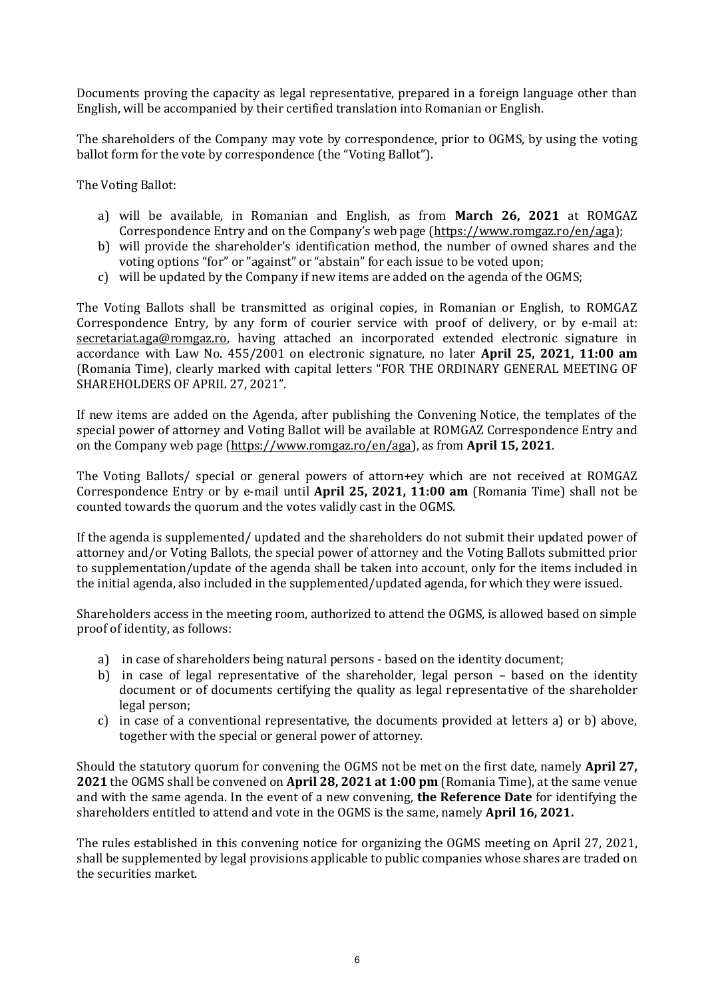Documents proving the capacity as legal representative, prepared in a foreign language other than English, will be accompanied by their certified translation into Romanian or English.

The shareholders of the Company may vote by correspondence, prior to OGMS, by using the voting ballot form for the vote by correspondence (the "Voting Ballot").

The Voting Ballot:

- a) will be available, in Romanian and English, as from **March 26, 2021** at ROMGAZ Correspondence Entry and on the Company's web page ([https://www.romgaz.ro/en/aga\)](https://www.romgaz.ro/en/aga);
- b) will provide the shareholder's identification method, the number of owned shares and the voting options "for" or "against" or "abstain" for each issue to be voted upon;
- c) will be updated by the Company if new items are added on the agenda of the OGMS;

The Voting Ballots shall be transmitted as original copies, in Romanian or English, to ROMGAZ Correspondence Entry, by any form of courier service with proof of delivery, or by e-mail at: [secretariat.aga@romgaz.ro,](mailto:secretariat.aga%40romgaz.ro) having attached an incorporated extended electronic signature in accordance with Law No. 455/2001 on electronic signature, no later **April 25, 2021, 11:00 am**  (Romania Time), clearly marked with capital letters "FOR THE ORDINARY GENERAL MEETING OF SHAREHOLDERS OF APRIL 27, 2021".

If new items are added on the Agenda, after publishing the Convening Notice, the templates of the special power of attorney and Voting Ballot will be available at ROMGAZ Correspondence Entry and on the Company web page [\(https://www.romgaz.ro/en/aga\)](https://www.romgaz.ro/en/aga), as from **April 15, 2021**.

The Voting Ballots/ special or general powers of attorn+ey which are not received at ROMGAZ Correspondence Entry or by e-mail until **April 25, 2021, 11:00 am** (Romania Time) shall not be counted towards the quorum and the votes validly cast in the OGMS.

If the agenda is supplemented/ updated and the shareholders do not submit their updated power of attorney and/or Voting Ballots, the special power of attorney and the Voting Ballots submitted prior to supplementation/update of the agenda shall be taken into account, only for the items included in the initial agenda, also included in the supplemented/updated agenda, for which they were issued.

Shareholders access in the meeting room, authorized to attend the OGMS, is allowed based on simple proof of identity, as follows:

- a) in case of shareholders being natural persons based on the identity document;
- b) in case of legal representative of the shareholder, legal person based on the identity document or of documents certifying the quality as legal representative of the shareholder legal person;
- c) in case of a conventional representative, the documents provided at letters a) or b) above, together with the special or general power of attorney.

Should the statutory quorum for convening the OGMS not be met on the first date, namely **April 27, 2021** the OGMS shall be convened on **April 28, 2021 at 1:00 pm** (Romania Time), at the same venue and with the same agenda. In the event of a new convening, **the Reference Date** for identifying the shareholders entitled to attend and vote in the OGMS is the same, namely **April 16, 2021.**

The rules established in this convening notice for organizing the OGMS meeting on April 27, 2021, shall be supplemented by legal provisions applicable to public companies whose shares are traded on the securities market.